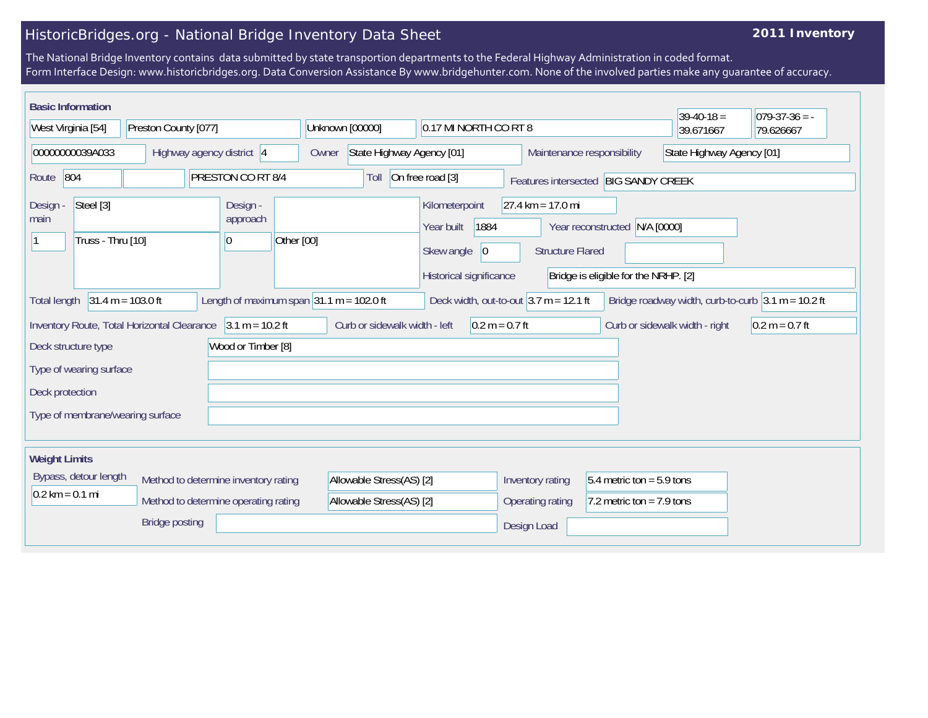## HistoricBridges.org - National Bridge Inventory Data Sheet

## **2011 Inventory**

The National Bridge Inventory contains data submitted by state transportion departments to the Federal Highway Administration in coded format. Form Interface Design: www.historicbridges.org. Data Conversion Assistance By www.bridgehunter.com. None of the involved parties make any guarantee of accuracy.

| <b>Basic Information</b>                                                                                                                                                                                       |                                                                                      |                                                                                                                                         | $39-40-18 =$              | $079-37-36 = -$ |  |  |
|----------------------------------------------------------------------------------------------------------------------------------------------------------------------------------------------------------------|--------------------------------------------------------------------------------------|-----------------------------------------------------------------------------------------------------------------------------------------|---------------------------|-----------------|--|--|
| West Virginia [54]<br>Preston County [077]                                                                                                                                                                     | Unknown [00000]<br>0.17 MI NORTH CO RT 8                                             |                                                                                                                                         | 39.671667                 | 79.626667       |  |  |
| 00000000039A033<br>Highway agency district 4                                                                                                                                                                   | State Highway Agency [01]<br>Owner                                                   | Maintenance responsibility                                                                                                              | State Highway Agency [01] |                 |  |  |
| PRESTON CO RT 8/4<br>On free road [3]<br>804<br>Route<br>Toll<br>Features intersected BIG SANDY CREEK                                                                                                          |                                                                                      |                                                                                                                                         |                           |                 |  |  |
| Steel [3]<br>Design -<br>Design -<br>approach<br>main<br>Truss - Thru [10]<br>Other [00]<br> 0                                                                                                                 | Kilometerpoint<br>1884<br>Year built<br> 0 <br>Skew angle<br>Historical significance | $27.4 \text{ km} = 17.0 \text{ mi}$<br>Year reconstructed N/A [0000]<br><b>Structure Flared</b><br>Bridge is eligible for the NRHP. [2] |                           |                 |  |  |
| $31.4 m = 103.0 ft$<br>Length of maximum span $ 31.1 \text{ m} = 102.0 \text{ ft} $<br>Deck width, out-to-out $3.7$ m = 12.1 ft<br>Bridge roadway width, curb-to-curb $3.1 m = 10.2 ft$<br><b>Total length</b> |                                                                                      |                                                                                                                                         |                           |                 |  |  |
| Inventory Route, Total Horizontal Clearance 3.1 m = 10.2 ft<br>Curb or sidewalk width - left<br>$0.2 m = 0.7 ft$<br>Curb or sidewalk width - right<br>$0.2 m = 0.7 ft$                                         |                                                                                      |                                                                                                                                         |                           |                 |  |  |
| Wood or Timber [8]<br>Deck structure type                                                                                                                                                                      |                                                                                      |                                                                                                                                         |                           |                 |  |  |
| Type of wearing surface                                                                                                                                                                                        |                                                                                      |                                                                                                                                         |                           |                 |  |  |
| Deck protection                                                                                                                                                                                                |                                                                                      |                                                                                                                                         |                           |                 |  |  |
| Type of membrane/wearing surface                                                                                                                                                                               |                                                                                      |                                                                                                                                         |                           |                 |  |  |
| <b>Weight Limits</b>                                                                                                                                                                                           |                                                                                      |                                                                                                                                         |                           |                 |  |  |
| Bypass, detour length<br>Method to determine inventory rating<br>$0.2$ km = 0.1 mi<br>Method to determine operating rating                                                                                     | Allowable Stress(AS) [2]<br>Allowable Stress(AS) [2]                                 | $5.4$ metric ton = 5.9 tons<br>Inventory rating<br>7.2 metric ton = $7.9$ tons<br>Operating rating                                      |                           |                 |  |  |
| <b>Bridge posting</b>                                                                                                                                                                                          |                                                                                      | Design Load                                                                                                                             |                           |                 |  |  |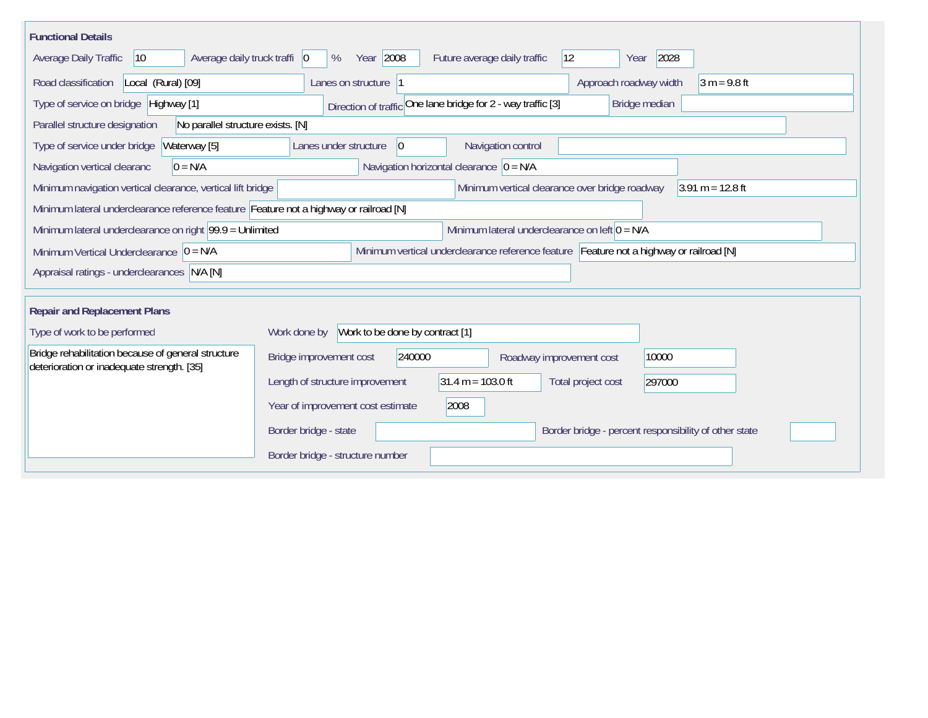| <b>Functional Details</b>                                                                                                             |                                                                                        |  |  |  |  |
|---------------------------------------------------------------------------------------------------------------------------------------|----------------------------------------------------------------------------------------|--|--|--|--|
| Average daily truck traffi   0<br>Average Daily Traffic<br>$ 10\rangle$                                                               | Year 2008<br>2028<br>$ 12\rangle$<br>Future average daily traffic<br>%<br>Year         |  |  |  |  |
| Road classification<br>Local (Rural) [09]                                                                                             | Approach roadway width<br>$3 m = 9.8 ft$<br>Lanes on structure 1                       |  |  |  |  |
| Direction of traffic One lane bridge for 2 - way traffic [3]<br>Type of service on bridge Highway [1]<br>Bridge median                |                                                                                        |  |  |  |  |
| No parallel structure exists. [N]<br>Parallel structure designation                                                                   |                                                                                        |  |  |  |  |
| Type of service under bridge<br>Waterway [5]                                                                                          | Navigation control<br>Lanes under structure<br>$ 0\rangle$                             |  |  |  |  |
| $0 = N/A$<br>Navigation vertical clearanc                                                                                             | Navigation horizontal clearance $ 0 = N/A$                                             |  |  |  |  |
| $3.91 m = 12.8 ft$<br>Minimum navigation vertical clearance, vertical lift bridge<br>Minimum vertical clearance over bridge roadway   |                                                                                        |  |  |  |  |
| Minimum lateral underclearance reference feature Feature not a highway or railroad [N]                                                |                                                                                        |  |  |  |  |
| Minimum lateral underclearance on right $99.9 =$ Unlimited                                                                            | Minimum lateral underclearance on left $0 = N/A$                                       |  |  |  |  |
| Minimum vertical underclearance reference feature Feature not a highway or railroad [N]<br>Minimum Vertical Underclearance $ 0 = N/A$ |                                                                                        |  |  |  |  |
| Appraisal ratings - underclearances N/A [N]                                                                                           |                                                                                        |  |  |  |  |
|                                                                                                                                       |                                                                                        |  |  |  |  |
| <b>Repair and Replacement Plans</b>                                                                                                   |                                                                                        |  |  |  |  |
| Type of work to be performed                                                                                                          | Work to be done by contract [1]<br>Work done by                                        |  |  |  |  |
| Bridge rehabilitation because of general structure<br>deterioration or inadequate strength. [35]                                      | 240000<br>Bridge improvement cost<br>10000<br>Roadway improvement cost                 |  |  |  |  |
|                                                                                                                                       | $31.4 m = 103.0 ft$<br>Length of structure improvement<br>Total project cost<br>297000 |  |  |  |  |
|                                                                                                                                       | Year of improvement cost estimate<br>2008                                              |  |  |  |  |
|                                                                                                                                       | Border bridge - state<br>Border bridge - percent responsibility of other state         |  |  |  |  |
|                                                                                                                                       | Border bridge - structure number                                                       |  |  |  |  |